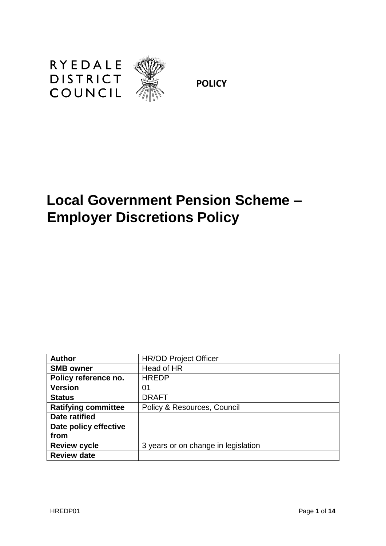

**POLICY**

# **Local Government Pension Scheme – Employer Discretions Policy**

| <b>Author</b>              | <b>HR/OD Project Officer</b>        |
|----------------------------|-------------------------------------|
| <b>SMB owner</b>           | Head of HR                          |
| Policy reference no.       | <b>HREDP</b>                        |
| <b>Version</b>             | 01                                  |
| <b>Status</b>              | <b>DRAFT</b>                        |
| <b>Ratifying committee</b> | Policy & Resources, Council         |
| <b>Date ratified</b>       |                                     |
| Date policy effective      |                                     |
| from                       |                                     |
| <b>Review cycle</b>        | 3 years or on change in legislation |
| <b>Review date</b>         |                                     |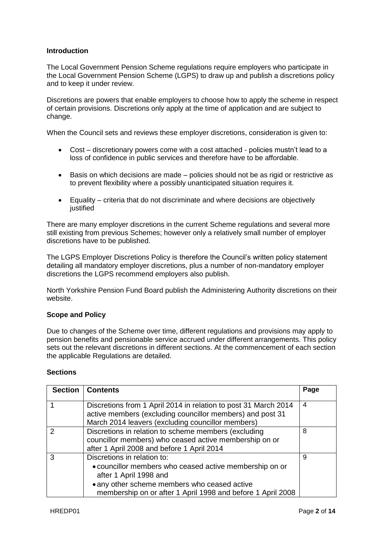## **Introduction**

The Local Government Pension Scheme regulations require employers who participate in the Local Government Pension Scheme (LGPS) to draw up and publish a discretions policy and to keep it under review.

Discretions are powers that enable employers to choose how to apply the scheme in respect of certain provisions. Discretions only apply at the time of application and are subject to change.

When the Council sets and reviews these employer discretions, consideration is given to:

- Cost discretionary powers come with a cost attached policies mustn't lead to a loss of confidence in public services and therefore have to be affordable.
- Basis on which decisions are made policies should not be as rigid or restrictive as to prevent flexibility where a possibly unanticipated situation requires it.
- Equality criteria that do not discriminate and where decisions are objectively iustified

There are many employer discretions in the current Scheme regulations and several more still existing from previous Schemes; however only a relatively small number of employer discretions have to be published.

The LGPS Employer Discretions Policy is therefore the Council's written policy statement detailing all mandatory employer discretions, plus a number of non-mandatory employer discretions the LGPS recommend employers also publish.

North Yorkshire Pension Fund Board publish the Administering Authority discretions on their website.

### **Scope and Policy**

Due to changes of the Scheme over time, different regulations and provisions may apply to pension benefits and pensionable service accrued under different arrangements. This policy sets out the relevant discretions in different sections. At the commencement of each section the applicable Regulations are detailed.

#### **Sections**

| <b>Section</b> | <b>Contents</b>                                                                                                                                                                                                                 | Page |
|----------------|---------------------------------------------------------------------------------------------------------------------------------------------------------------------------------------------------------------------------------|------|
|                | Discretions from 1 April 2014 in relation to post 31 March 2014<br>active members (excluding councillor members) and post 31<br>March 2014 leavers (excluding councillor members)                                               | 4    |
| $\mathcal{P}$  | Discretions in relation to scheme members (excluding<br>councillor members) who ceased active membership on or<br>after 1 April 2008 and before 1 April 2014                                                                    | 8    |
|                | Discretions in relation to:<br>• councillor members who ceased active membership on or<br>after 1 April 1998 and<br>• any other scheme members who ceased active<br>membership on or after 1 April 1998 and before 1 April 2008 | 9    |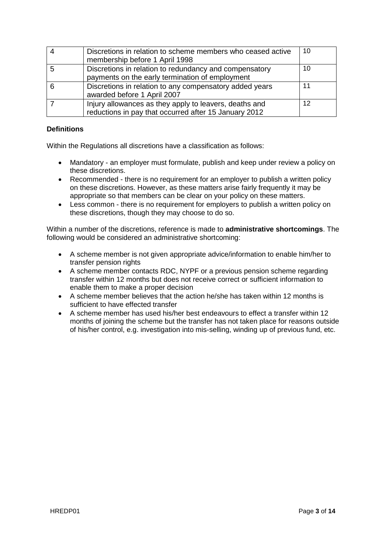|   | Discretions in relation to scheme members who ceased active<br>membership before 1 April 1998                   | 10 |
|---|-----------------------------------------------------------------------------------------------------------------|----|
| 5 | Discretions in relation to redundancy and compensatory<br>payments on the early termination of employment       | 10 |
| 6 | Discretions in relation to any compensatory added years<br>awarded before 1 April 2007                          | 11 |
|   | Injury allowances as they apply to leavers, deaths and<br>reductions in pay that occurred after 15 January 2012 | 12 |

## **Definitions**

Within the Regulations all discretions have a classification as follows:

- Mandatory an employer must formulate, publish and keep under review a policy on these discretions.
- Recommended there is no requirement for an employer to publish a written policy on these discretions. However, as these matters arise fairly frequently it may be appropriate so that members can be clear on your policy on these matters.
- Less common there is no requirement for employers to publish a written policy on these discretions, though they may choose to do so.

Within a number of the discretions, reference is made to **administrative shortcomings**. The following would be considered an administrative shortcoming:

- A scheme member is not given appropriate advice/information to enable him/her to transfer pension rights
- A scheme member contacts RDC, NYPF or a previous pension scheme regarding transfer within 12 months but does not receive correct or sufficient information to enable them to make a proper decision
- A scheme member believes that the action he/she has taken within 12 months is sufficient to have effected transfer
- A scheme member has used his/her best endeavours to effect a transfer within 12 months of joining the scheme but the transfer has not taken place for reasons outside of his/her control, e.g. investigation into mis-selling, winding up of previous fund, etc.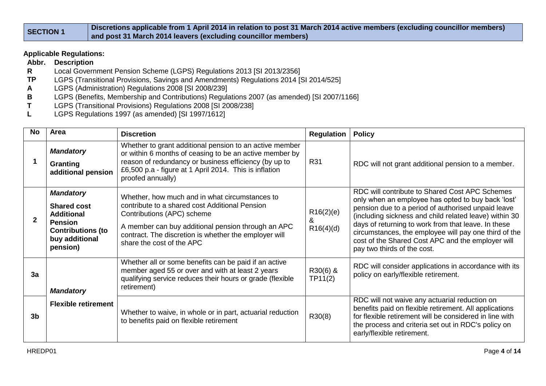| <b>SECTION 1</b> | Discretions applicable from 1 April 2014 in relation to post 31 March 2014 active members (excluding councillor members) |
|------------------|--------------------------------------------------------------------------------------------------------------------------|
|                  | and post 31 March 2014 leavers (excluding councillor members)                                                            |

## **Applicable Regulations:**

- **Abbr. Description**
- **R** Local Government Pension Scheme (LGPS) Regulations 2013 [SI 2013/2356]<br>**TP** LGPS (Transitional Provisions, Savings and Amendments) Regulations 2014 [S
- LGPS (Transitional Provisions, Savings and Amendments) Regulations 2014 [SI 2014/525]
- **A** LGPS (Administration) Regulations 2008 [SI 2008/239]
- **B** LGPS (Benefits, Membership and Contributions) Regulations 2007 (as amended) [SI 2007/1166]<br>**T** LGPS (Transitional Provisions) Regulations 2008 [SI 2008/238]
- **T** LGPS (Transitional Provisions) Regulations 2008 [SI 2008/238]
- **L** LGPS Regulations 1997 (as amended) [SI 1997/1612]

| <b>No</b>      | Area                                                                                                                                    | <b>Discretion</b>                                                                                                                                                                                                                                                          | <b>Regulation</b>           | <b>Policy</b>                                                                                                                                                                                                                                                                                                                                                                                                            |
|----------------|-----------------------------------------------------------------------------------------------------------------------------------------|----------------------------------------------------------------------------------------------------------------------------------------------------------------------------------------------------------------------------------------------------------------------------|-----------------------------|--------------------------------------------------------------------------------------------------------------------------------------------------------------------------------------------------------------------------------------------------------------------------------------------------------------------------------------------------------------------------------------------------------------------------|
|                | <b>Mandatory</b><br><b>Granting</b><br>additional pension                                                                               | Whether to grant additional pension to an active member<br>or within 6 months of ceasing to be an active member by<br>reason of redundancy or business efficiency (by up to<br>£6,500 p.a - figure at 1 April 2014. This is inflation<br>proofed annually)                 | <b>R31</b>                  | RDC will not grant additional pension to a member.                                                                                                                                                                                                                                                                                                                                                                       |
|                | <b>Mandatory</b><br><b>Shared cost</b><br><b>Additional</b><br><b>Pension</b><br><b>Contributions (to</b><br>buy additional<br>pension) | Whether, how much and in what circumstances to<br>contribute to a shared cost Additional Pension<br>Contributions (APC) scheme<br>A member can buy additional pension through an APC<br>contract. The discretion is whether the employer will<br>share the cost of the APC | R16(2)(e)<br>&<br>R16(4)(d) | RDC will contribute to Shared Cost APC Schemes<br>only when an employee has opted to buy back 'lost'<br>pension due to a period of authorised unpaid leave<br>(including sickness and child related leave) within 30<br>days of returning to work from that leave. In these<br>circumstances, the employee will pay one third of the<br>cost of the Shared Cost APC and the employer will<br>pay two thirds of the cost. |
| 3a             | <b>Mandatory</b>                                                                                                                        | Whether all or some benefits can be paid if an active<br>member aged 55 or over and with at least 2 years<br>qualifying service reduces their hours or grade (flexible<br>retirement)                                                                                      | R30(6) &<br>TP11(2)         | RDC will consider applications in accordance with its<br>policy on early/flexible retirement.                                                                                                                                                                                                                                                                                                                            |
| 3 <sub>b</sub> | <b>Flexible retirement</b>                                                                                                              | Whether to waive, in whole or in part, actuarial reduction<br>to benefits paid on flexible retirement                                                                                                                                                                      | R30(8)                      | RDC will not waive any actuarial reduction on<br>benefits paid on flexible retirement. All applications<br>for flexible retirement will be considered in line with<br>the process and criteria set out in RDC's policy on<br>early/flexible retirement.                                                                                                                                                                  |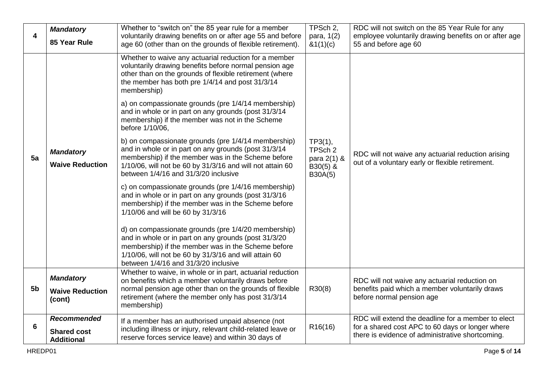| 4              | <b>Mandatory</b><br>85 Year Rule                              | Whether to "switch on" the 85 year rule for a member<br>voluntarily drawing benefits on or after age 55 and before<br>age 60 (other than on the grounds of flexible retirement).                                                                                                                                                                                                                               | TPSch 2,<br>para, 1(2)<br>&(1)(c)                           | RDC will not switch on the 85 Year Rule for any<br>employee voluntarily drawing benefits on or after age<br>55 and before age 60                           |
|----------------|---------------------------------------------------------------|----------------------------------------------------------------------------------------------------------------------------------------------------------------------------------------------------------------------------------------------------------------------------------------------------------------------------------------------------------------------------------------------------------------|-------------------------------------------------------------|------------------------------------------------------------------------------------------------------------------------------------------------------------|
|                |                                                               | Whether to waive any actuarial reduction for a member<br>voluntarily drawing benefits before normal pension age<br>other than on the grounds of flexible retirement (where<br>the member has both pre 1/4/14 and post 31/3/14<br>membership)<br>a) on compassionate grounds (pre 1/4/14 membership)<br>and in whole or in part on any grounds (post 31/3/14<br>membership) if the member was not in the Scheme |                                                             |                                                                                                                                                            |
| 5a             | <b>Mandatory</b><br><b>Waive Reduction</b>                    | before 1/10/06,<br>b) on compassionate grounds (pre 1/4/14 membership)<br>and in whole or in part on any grounds (post 31/3/14<br>membership) if the member was in the Scheme before<br>1/10/06, will not be 60 by 31/3/16 and will not attain 60<br>between 1/4/16 and 31/3/20 inclusive                                                                                                                      | $TP3(1)$ ,<br>TPSch 2<br>para 2(1) &<br>B30(5) &<br>B30A(5) | RDC will not waive any actuarial reduction arising<br>out of a voluntary early or flexible retirement.                                                     |
|                |                                                               | c) on compassionate grounds (pre 1/4/16 membership)<br>and in whole or in part on any grounds (post 31/3/16<br>membership) if the member was in the Scheme before<br>1/10/06 and will be 60 by 31/3/16                                                                                                                                                                                                         |                                                             |                                                                                                                                                            |
|                |                                                               | d) on compassionate grounds (pre 1/4/20 membership)<br>and in whole or in part on any grounds (post 31/3/20<br>membership) if the member was in the Scheme before<br>1/10/06, will not be 60 by 31/3/16 and will attain 60<br>between 1/4/16 and 31/3/20 inclusive                                                                                                                                             |                                                             |                                                                                                                                                            |
| 5 <sub>b</sub> | <b>Mandatory</b><br><b>Waive Reduction</b><br>(cont)          | Whether to waive, in whole or in part, actuarial reduction<br>on benefits which a member voluntarily draws before<br>normal pension age other than on the grounds of flexible<br>retirement (where the member only has post 31/3/14<br>membership)                                                                                                                                                             | R30(8)                                                      | RDC will not waive any actuarial reduction on<br>benefits paid which a member voluntarily draws<br>before normal pension age                               |
| 6              | <b>Recommended</b><br><b>Shared cost</b><br><b>Additional</b> | If a member has an authorised unpaid absence (not<br>including illness or injury, relevant child-related leave or<br>reserve forces service leave) and within 30 days of                                                                                                                                                                                                                                       | R <sub>16</sub> (16)                                        | RDC will extend the deadline for a member to elect<br>for a shared cost APC to 60 days or longer where<br>there is evidence of administrative shortcoming. |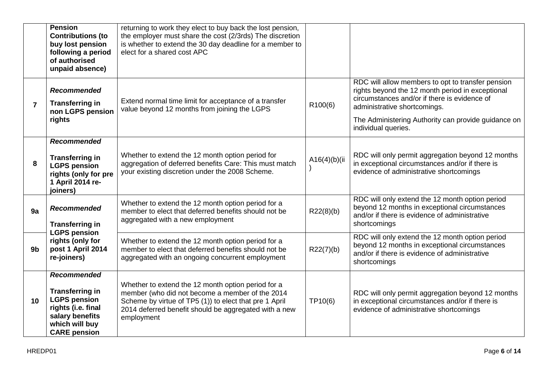|                | <b>Pension</b><br><b>Contributions (to</b><br>buy lost pension<br>following a period<br>of authorised<br>unpaid absence)                              | returning to work they elect to buy back the lost pension,<br>the employer must share the cost (2/3rds) The discretion<br>is whether to extend the 30 day deadline for a member to<br>elect for a shared cost APC                      |               |                                                                                                                                                                                                                                                                     |
|----------------|-------------------------------------------------------------------------------------------------------------------------------------------------------|----------------------------------------------------------------------------------------------------------------------------------------------------------------------------------------------------------------------------------------|---------------|---------------------------------------------------------------------------------------------------------------------------------------------------------------------------------------------------------------------------------------------------------------------|
| $\overline{7}$ | <b>Recommended</b><br><b>Transferring in</b><br>non LGPS pension<br>rights                                                                            | Extend normal time limit for acceptance of a transfer<br>value beyond 12 months from joining the LGPS                                                                                                                                  | R100(6)       | RDC will allow members to opt to transfer pension<br>rights beyond the 12 month period in exceptional<br>circumstances and/or if there is evidence of<br>administrative shortcomings.<br>The Administering Authority can provide guidance on<br>individual queries. |
| 8              | Recommended<br><b>Transferring in</b><br><b>LGPS pension</b><br>rights (only for pre<br>1 April 2014 re-<br>joiners)                                  | Whether to extend the 12 month option period for<br>aggregation of deferred benefits Care: This must match<br>your existing discretion under the 2008 Scheme.                                                                          | A16(4)(b)(ii) | RDC will only permit aggregation beyond 12 months<br>in exceptional circumstances and/or if there is<br>evidence of administrative shortcomings                                                                                                                     |
| 9a             | <b>Recommended</b><br><b>Transferring in</b><br><b>LGPS pension</b>                                                                                   | Whether to extend the 12 month option period for a<br>member to elect that deferred benefits should not be<br>aggregated with a new employment                                                                                         | R22(8)(b)     | RDC will only extend the 12 month option period<br>beyond 12 months in exceptional circumstances<br>and/or if there is evidence of administrative<br>shortcomings                                                                                                   |
| 9b             | rights (only for<br>post 1 April 2014<br>re-joiners)                                                                                                  | Whether to extend the 12 month option period for a<br>member to elect that deferred benefits should not be<br>aggregated with an ongoing concurrent employment                                                                         | R22(7)(b)     | RDC will only extend the 12 month option period<br>beyond 12 months in exceptional circumstances<br>and/or if there is evidence of administrative<br>shortcomings                                                                                                   |
| 10             | <b>Recommended</b><br><b>Transferring in</b><br><b>LGPS pension</b><br>rights (i.e. final<br>salary benefits<br>which will buy<br><b>CARE</b> pension | Whether to extend the 12 month option period for a<br>member (who did not become a member of the 2014<br>Scheme by virtue of TP5 (1)) to elect that pre 1 April<br>2014 deferred benefit should be aggregated with a new<br>employment | TP10(6)       | RDC will only permit aggregation beyond 12 months<br>in exceptional circumstances and/or if there is<br>evidence of administrative shortcomings                                                                                                                     |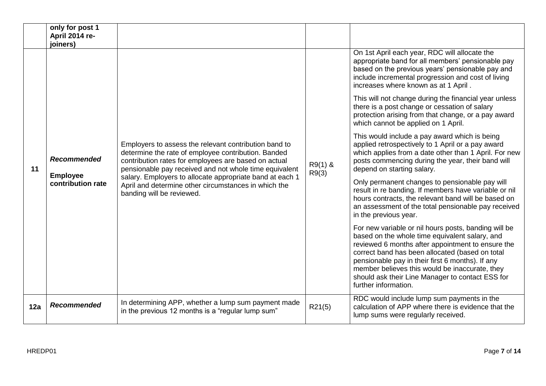|     | only for post 1<br>April 2014 re-<br>joiners)              |                                                                                                                                                                                                                                                                                                                                                                                 |                    |                                                                                                                                                                                                                                                                                                                                                                                                  |
|-----|------------------------------------------------------------|---------------------------------------------------------------------------------------------------------------------------------------------------------------------------------------------------------------------------------------------------------------------------------------------------------------------------------------------------------------------------------|--------------------|--------------------------------------------------------------------------------------------------------------------------------------------------------------------------------------------------------------------------------------------------------------------------------------------------------------------------------------------------------------------------------------------------|
|     | <b>Recommended</b><br><b>Employee</b><br>contribution rate | Employers to assess the relevant contribution band to<br>determine the rate of employee contribution. Banded<br>contribution rates for employees are based on actual<br>pensionable pay received and not whole time equivalent<br>salary. Employers to allocate appropriate band at each 1<br>April and determine other circumstances in which the<br>banding will be reviewed. | $R9(1)$ &<br>R9(3) | On 1st April each year, RDC will allocate the<br>appropriate band for all members' pensionable pay<br>based on the previous years' pensionable pay and<br>include incremental progression and cost of living<br>increases where known as at 1 April.                                                                                                                                             |
|     |                                                            |                                                                                                                                                                                                                                                                                                                                                                                 |                    | This will not change during the financial year unless<br>there is a post change or cessation of salary<br>protection arising from that change, or a pay award<br>which cannot be applied on 1 April.                                                                                                                                                                                             |
| 11  |                                                            |                                                                                                                                                                                                                                                                                                                                                                                 |                    | This would include a pay award which is being<br>applied retrospectively to 1 April or a pay award<br>which applies from a date other than 1 April. For new<br>posts commencing during the year, their band will<br>depend on starting salary.                                                                                                                                                   |
|     |                                                            |                                                                                                                                                                                                                                                                                                                                                                                 |                    | Only permanent changes to pensionable pay will<br>result in re banding. If members have variable or nil<br>hours contracts, the relevant band will be based on<br>an assessment of the total pensionable pay received<br>in the previous year.                                                                                                                                                   |
|     |                                                            |                                                                                                                                                                                                                                                                                                                                                                                 |                    | For new variable or nil hours posts, banding will be<br>based on the whole time equivalent salary, and<br>reviewed 6 months after appointment to ensure the<br>correct band has been allocated (based on total<br>pensionable pay in their first 6 months). If any<br>member believes this would be inaccurate, they<br>should ask their Line Manager to contact ESS for<br>further information. |
| 12a | <b>Recommended</b>                                         | In determining APP, whether a lump sum payment made<br>in the previous 12 months is a "regular lump sum"                                                                                                                                                                                                                                                                        | R21(5)             | RDC would include lump sum payments in the<br>calculation of APP where there is evidence that the<br>lump sums were regularly received.                                                                                                                                                                                                                                                          |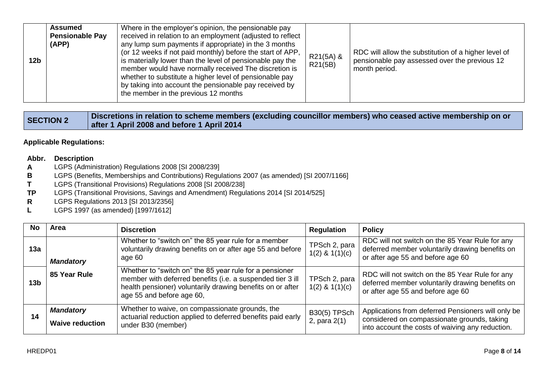| 12 <sub>b</sub> | Assumed<br><b>Pensionable Pay</b><br>(APP) | Where in the employer's opinion, the pensionable pay<br>received in relation to an employment (adjusted to reflect<br>any lump sum payments if appropriate) in the 3 months<br>(or 12 weeks if not paid monthly) before the start of APP,<br>is materially lower than the level of pensionable pay the<br>member would have normally received The discretion is<br>whether to substitute a higher level of pensionable pay<br>by taking into account the pensionable pay received by<br>the member in the previous 12 months | R21(5A) &<br>R21(5B) | RDC will allow the substitution of a higher level of<br>pensionable pay assessed over the previous 12<br>month period. |
|-----------------|--------------------------------------------|------------------------------------------------------------------------------------------------------------------------------------------------------------------------------------------------------------------------------------------------------------------------------------------------------------------------------------------------------------------------------------------------------------------------------------------------------------------------------------------------------------------------------|----------------------|------------------------------------------------------------------------------------------------------------------------|
|-----------------|--------------------------------------------|------------------------------------------------------------------------------------------------------------------------------------------------------------------------------------------------------------------------------------------------------------------------------------------------------------------------------------------------------------------------------------------------------------------------------------------------------------------------------------------------------------------------------|----------------------|------------------------------------------------------------------------------------------------------------------------|

| <b>SECTION 2</b> | Discretions in relation to scheme members (excluding councillor members) who ceased active membership on or |
|------------------|-------------------------------------------------------------------------------------------------------------|
|                  | after 1 April 2008 and before 1 April 2014                                                                  |

**Applicable Regulations:**

## **Abbr. Description**

- **A** LGPS (Administration) Regulations 2008 [SI 2008/239]
- **B** LGPS (Benefits, Memberships and Contributions) Regulations 2007 (as amended) [SI 2007/1166]<br>**T** LGPS (Transitional Provisions) Regulations 2008 [SI 2008/238]
- **T** LGPS (Transitional Provisions) Regulations 2008 [SI 2008/238]
- **TP** LGPS (Transitional Provisions, Savings and Amendment) Regulations 2014 [SI 2014/525]
- **R** LGPS Regulations 2013 [SI 2013/2356]<br> **L** LGPS 1997 (as amended) [1997/1612]
- **L** LGPS 1997 (as amended) [1997/1612]

| No  | Area                                       | <b>Discretion</b>                                                                                                                                                                                                | <b>Regulation</b>                   | <b>Policy</b>                                                                                                                                         |
|-----|--------------------------------------------|------------------------------------------------------------------------------------------------------------------------------------------------------------------------------------------------------------------|-------------------------------------|-------------------------------------------------------------------------------------------------------------------------------------------------------|
| 13а | <b>Mandatory</b>                           | Whether to "switch on" the 85 year rule for a member<br>voluntarily drawing benefits on or after age 55 and before<br>age 60                                                                                     | TPSch 2, para<br>$1(2)$ & $1(1)(c)$ | RDC will not switch on the 85 Year Rule for any<br>deferred member voluntarily drawing benefits on<br>or after age 55 and before age 60               |
| 13b | 85 Year Rule                               | Whether to "switch on" the 85 year rule for a pensioner<br>member with deferred benefits (i.e. a suspended tier 3 ill<br>health pensioner) voluntarily drawing benefits on or after<br>age 55 and before age 60, | TPSch 2, para<br>$1(2)$ & $1(1)(c)$ | RDC will not switch on the 85 Year Rule for any<br>deferred member voluntarily drawing benefits on<br>or after age 55 and before age 60               |
| 14  | <b>Mandatory</b><br><b>Waive reduction</b> | Whether to waive, on compassionate grounds, the<br>actuarial reduction applied to deferred benefits paid early<br>under B30 (member)                                                                             | <b>B30(5) TPSch</b><br>2, para 2(1) | Applications from deferred Pensioners will only be<br>considered on compassionate grounds, taking<br>into account the costs of waiving any reduction. |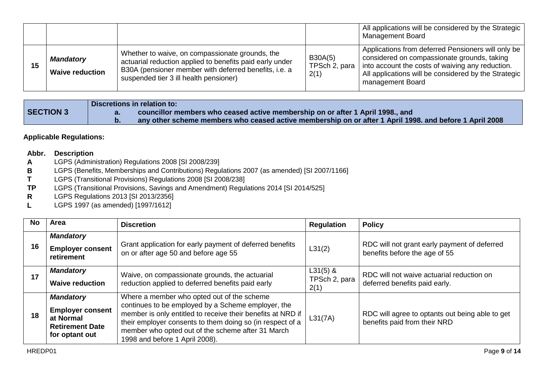|    |                                            |                                                                                                                                                                                                                |                                  | All applications will be considered by the Strategic  <br><b>Management Board</b>                                                                                                                                                   |
|----|--------------------------------------------|----------------------------------------------------------------------------------------------------------------------------------------------------------------------------------------------------------------|----------------------------------|-------------------------------------------------------------------------------------------------------------------------------------------------------------------------------------------------------------------------------------|
| 15 | <b>Mandatory</b><br><b>Waive reduction</b> | Whether to waive, on compassionate grounds, the<br>actuarial reduction applied to benefits paid early under<br>B30A (pensioner member with deferred benefits, i.e. a<br>suspended tier 3 ill health pensioner) | B30A(5)<br>TPSch 2, para<br>2(1) | Applications from deferred Pensioners will only be<br>considered on compassionate grounds, taking<br>into account the costs of waiving any reduction.<br>All applications will be considered by the Strategic  <br>management Board |

|           | Discretions in relation to:                                                                             |
|-----------|---------------------------------------------------------------------------------------------------------|
| SECTION 3 | councillor members who ceased active membership on or after 1 April 1998., and                          |
|           | any other scheme members who ceased active membership on or after 1 April 1998. and before 1 April 2008 |

# **Applicable Regulations:**

#### **Abbr. Description**

- **A** LGPS (Administration) Regulations 2008 [SI 2008/239]
- **B** LGPS (Benefits, Memberships and Contributions) Regulations 2007 (as amended) [SI 2007/1166]<br>**T** LGPS (Transitional Provisions) Regulations 2008 [SI 2008/238]
- **T** LGPS (Transitional Provisions) Regulations 2008 [SI 2008/238]<br> **TP** LGPS (Transitional Provisions, Savings and Amendment) Regul
- LGPS (Transitional Provisions, Savings and Amendment) Regulations 2014 [SI 2014/525]
- **R** LGPS Regulations 2013 [SI 2013/2356]
- **L** LGPS 1997 (as amended) [1997/1612]

| No | Area                                                                                                 | <b>Discretion</b>                                                                                                                                                                                                                                                                                                   | <b>Regulation</b>                   | <b>Policy</b>                                                                   |
|----|------------------------------------------------------------------------------------------------------|---------------------------------------------------------------------------------------------------------------------------------------------------------------------------------------------------------------------------------------------------------------------------------------------------------------------|-------------------------------------|---------------------------------------------------------------------------------|
| 16 | <b>Mandatory</b><br><b>Employer consent</b><br>retirement                                            | Grant application for early payment of deferred benefits<br>on or after age 50 and before age 55                                                                                                                                                                                                                    | L31(2)                              | RDC will not grant early payment of deferred<br>benefits before the age of 55   |
| 17 | <b>Mandatory</b><br><b>Waive reduction</b>                                                           | Waive, on compassionate grounds, the actuarial<br>reduction applied to deferred benefits paid early                                                                                                                                                                                                                 | $L31(5)$ &<br>TPSch 2, para<br>2(1) | RDC will not waive actuarial reduction on<br>deferred benefits paid early.      |
| 18 | <b>Mandatory</b><br><b>Employer consent</b><br>at Normal<br><b>Retirement Date</b><br>for optant out | Where a member who opted out of the scheme<br>continues to be employed by a Scheme employer, the<br>member is only entitled to receive their benefits at NRD if<br>their employer consents to them doing so (in respect of a<br>member who opted out of the scheme after 31 March<br>1998 and before 1 April 2008). | L31(7A)                             | RDC will agree to optants out being able to get<br>benefits paid from their NRD |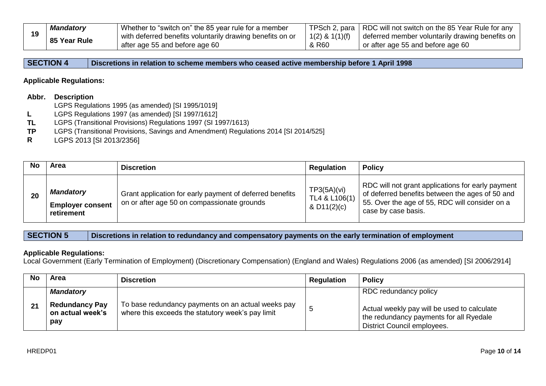|    | <b>Mandatory</b> | Whether to "switch on" the 85 year rule for a member      |                    | TPSch 2, para   RDC will not switch on the 85 Year Rule for any |
|----|------------------|-----------------------------------------------------------|--------------------|-----------------------------------------------------------------|
| 19 | 85 Year Rule     | with deferred benefits voluntarily drawing benefits on or | $1(2)$ & $1(1)(f)$ | deferred member voluntarily drawing benefits on                 |
|    |                  | after age 55 and before age 60                            | & R60              | or after age 55 and before age 60                               |

**SECTION 4 Discretions in relation to scheme members who ceased active membership before 1 April 1998**

#### **Applicable Regulations:**

#### **Abbr. Description**

- LGPS Regulations 1995 (as amended) [SI 1995/1019]
- **L** LGPS Regulations 1997 (as amended) [SI 1997/1612]
- **TL** LGPS (Transitional Provisions) Regulations 1997 (SI 1997/1613)<br>**TP** LGPS (Transitional Provisions, Savings and Amendment) Regula
- **TP** LGPS (Transitional Provisions, Savings and Amendment) Regulations 2014 [SI 2014/525]
- **R** LGPS 2013 [SI 2013/2356]

|    | <b>Area</b>                                               | <b>Discretion</b>                                                                                       | <b>Regulation</b>                           | <b>Policy</b>                                                                                                                                                                 |
|----|-----------------------------------------------------------|---------------------------------------------------------------------------------------------------------|---------------------------------------------|-------------------------------------------------------------------------------------------------------------------------------------------------------------------------------|
| 20 | <b>Mandatory</b><br><b>Employer consent</b><br>retirement | Grant application for early payment of deferred benefits<br>on or after age 50 on compassionate grounds | TP3(5A)(vi)<br>TL4 & L106(1)<br>& D11(2)(c) | RDC will not grant applications for early payment<br>of deferred benefits between the ages of 50 and<br>55. Over the age of 55, RDC will consider on a<br>case by case basis. |

**SECTION 5 Discretions in relation to redundancy and compensatory payments on the early termination of employment**

#### **Applicable Regulations:**

Local Government (Early Termination of Employment) (Discretionary Compensation) (England and Wales) Regulations 2006 (as amended) [SI 2006/2914]

| No | <b>Area</b>                                                          | <b>Discretion</b>                                                                                       | <b>Regulation</b> | <b>Policy</b>                                                                                                                                         |
|----|----------------------------------------------------------------------|---------------------------------------------------------------------------------------------------------|-------------------|-------------------------------------------------------------------------------------------------------------------------------------------------------|
| 21 | <b>Mandatory</b><br><b>Redundancy Pay</b><br>on actual week's<br>pay | To base redundancy payments on an actual weeks pay<br>where this exceeds the statutory week's pay limit |                   | RDC redundancy policy<br>Actual weekly pay will be used to calculate<br>the redundancy payments for all Ryedale<br><b>District Council employees.</b> |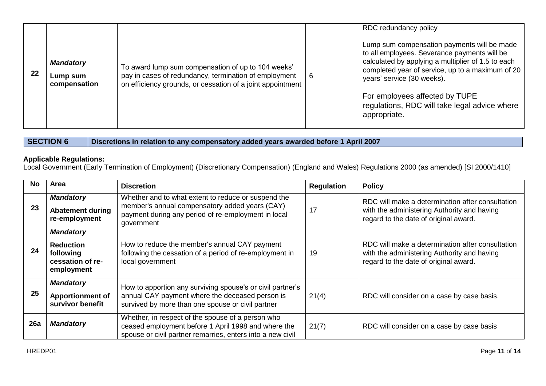| 22 | <b>Mandatory</b><br>Lump sum<br>compensation | To award lump sum compensation of up to 104 weeks'<br>pay in cases of redundancy, termination of employment<br>on efficiency grounds, or cessation of a joint appointment | -6 | RDC redundancy policy<br>Lump sum compensation payments will be made<br>to all employees. Severance payments will be<br>calculated by applying a multiplier of 1.5 to each<br>completed year of service, up to a maximum of 20<br>years' service (30 weeks).<br>For employees affected by TUPE<br>regulations, RDC will take legal advice where<br>appropriate. |
|----|----------------------------------------------|---------------------------------------------------------------------------------------------------------------------------------------------------------------------------|----|-----------------------------------------------------------------------------------------------------------------------------------------------------------------------------------------------------------------------------------------------------------------------------------------------------------------------------------------------------------------|
|----|----------------------------------------------|---------------------------------------------------------------------------------------------------------------------------------------------------------------------------|----|-----------------------------------------------------------------------------------------------------------------------------------------------------------------------------------------------------------------------------------------------------------------------------------------------------------------------------------------------------------------|

**SECTION 6 Discretions in relation to any compensatory added years awarded before 1 April 2007**

## **Applicable Regulations:**

Local Government (Early Termination of Employment) (Discretionary Compensation) (England and Wales) Regulations 2000 (as amended) [SI 2000/1410]

| No  | Area                                                                                | <b>Discretion</b>                                                                                                                                                          | <b>Regulation</b> | <b>Policy</b>                                                                                                                            |
|-----|-------------------------------------------------------------------------------------|----------------------------------------------------------------------------------------------------------------------------------------------------------------------------|-------------------|------------------------------------------------------------------------------------------------------------------------------------------|
| 23  | <b>Mandatory</b><br><b>Abatement during</b><br>re-employment                        | Whether and to what extent to reduce or suspend the<br>member's annual compensatory added years (CAY)<br>payment during any period of re-employment in local<br>government | 17                | RDC will make a determination after consultation<br>with the administering Authority and having<br>regard to the date of original award. |
| 24  | <b>Mandatory</b><br><b>Reduction</b><br>following<br>cessation of re-<br>employment | How to reduce the member's annual CAY payment<br>following the cessation of a period of re-employment in<br>local government                                               | 19                | RDC will make a determination after consultation<br>with the administering Authority and having<br>regard to the date of original award. |
| 25  | <b>Mandatory</b><br><b>Apportionment of</b><br>survivor benefit                     | How to apportion any surviving spouse's or civil partner's<br>annual CAY payment where the deceased person is<br>survived by more than one spouse or civil partner         | 21(4)             | RDC will consider on a case by case basis.                                                                                               |
| 26a | <b>Mandatory</b>                                                                    | Whether, in respect of the spouse of a person who<br>ceased employment before 1 April 1998 and where the<br>spouse or civil partner remarries, enters into a new civil     | 21(7)             | RDC will consider on a case by case basis                                                                                                |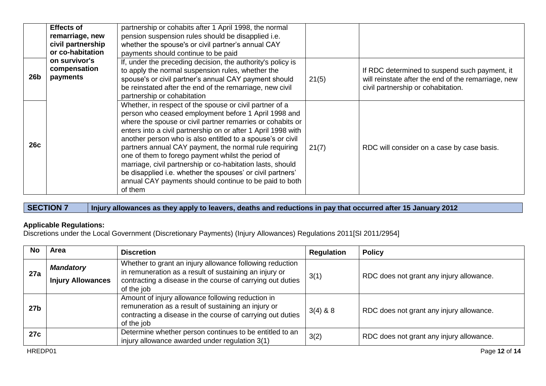|     | <b>Effects of</b><br>remarriage, new<br>civil partnership<br>or co-habitation | partnership or cohabits after 1 April 1998, the normal<br>pension suspension rules should be disapplied i.e.<br>whether the spouse's or civil partner's annual CAY<br>payments should continue to be paid                                                                                                                                                                                                                                                                                                                                                                                                                     |       |                                                                                                                                            |
|-----|-------------------------------------------------------------------------------|-------------------------------------------------------------------------------------------------------------------------------------------------------------------------------------------------------------------------------------------------------------------------------------------------------------------------------------------------------------------------------------------------------------------------------------------------------------------------------------------------------------------------------------------------------------------------------------------------------------------------------|-------|--------------------------------------------------------------------------------------------------------------------------------------------|
| 26b | on survivor's<br>compensation<br>payments                                     | If, under the preceding decision, the authority's policy is<br>to apply the normal suspension rules, whether the<br>spouse's or civil partner's annual CAY payment should<br>be reinstated after the end of the remarriage, new civil<br>partnership or cohabitation                                                                                                                                                                                                                                                                                                                                                          | 21(5) | If RDC determined to suspend such payment, it<br>will reinstate after the end of the remarriage, new<br>civil partnership or cohabitation. |
| 26c |                                                                               | Whether, in respect of the spouse or civil partner of a<br>person who ceased employment before 1 April 1998 and<br>where the spouse or civil partner remarries or cohabits or<br>enters into a civil partnership on or after 1 April 1998 with<br>another person who is also entitled to a spouse's or civil<br>partners annual CAY payment, the normal rule requiring<br>one of them to forego payment whilst the period of<br>marriage, civil partnership or co-habitation lasts, should<br>be disapplied i.e. whether the spouses' or civil partners'<br>annual CAY payments should continue to be paid to both<br>of them | 21(7) | RDC will consider on a case by case basis.                                                                                                 |

**SECTION 7 Injury allowances as they apply to leavers, deaths and reductions in pay that occurred after 15 January 2012**

# **Applicable Regulations:**

Discretions under the Local Government (Discretionary Payments) (Injury Allowances) Regulations 2011[SI 2011/2954]

| No              | <b>Area</b>                                  | <b>Discretion</b>                                                                                                                                                                              | <b>Regulation</b> | <b>Policy</b>                            |
|-----------------|----------------------------------------------|------------------------------------------------------------------------------------------------------------------------------------------------------------------------------------------------|-------------------|------------------------------------------|
| 27a             | <b>Mandatory</b><br><b>Injury Allowances</b> | Whether to grant an injury allowance following reduction<br>in remuneration as a result of sustaining an injury or<br>contracting a disease in the course of carrying out duties<br>of the job | 3(1)              | RDC does not grant any injury allowance. |
| 27 <sub>b</sub> |                                              | Amount of injury allowance following reduction in<br>remuneration as a result of sustaining an injury or<br>contracting a disease in the course of carrying out duties<br>of the job           | $3(4)$ & 8        | RDC does not grant any injury allowance. |
| 27c             |                                              | Determine whether person continues to be entitled to an<br>injury allowance awarded under regulation 3(1)                                                                                      | 3(2)              | RDC does not grant any injury allowance. |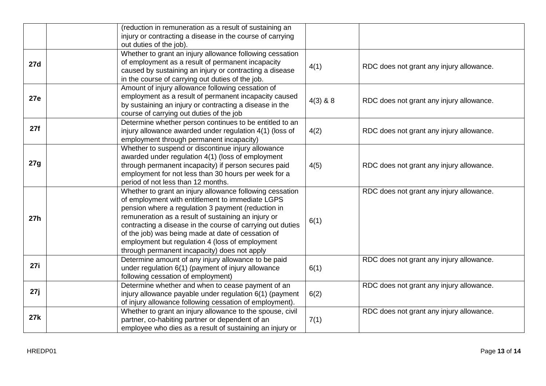| (reduction in remuneration as a result of sustaining an                                                                       |                                          |
|-------------------------------------------------------------------------------------------------------------------------------|------------------------------------------|
| injury or contracting a disease in the course of carrying                                                                     |                                          |
| out duties of the job).                                                                                                       |                                          |
| Whether to grant an injury allowance following cessation                                                                      |                                          |
| of employment as a result of permanent incapacity<br><b>27d</b><br>4(1)<br>RDC does not grant any injury allowance.           |                                          |
| caused by sustaining an injury or contracting a disease                                                                       |                                          |
| in the course of carrying out duties of the job.                                                                              |                                          |
| Amount of injury allowance following cessation of                                                                             |                                          |
| employment as a result of permanent incapacity caused<br><b>27e</b><br>$4(3)$ & 8<br>RDC does not grant any injury allowance. |                                          |
| by sustaining an injury or contracting a disease in the                                                                       |                                          |
| course of carrying out duties of the job                                                                                      |                                          |
| Determine whether person continues to be entitled to an                                                                       |                                          |
| 27f<br>injury allowance awarded under regulation 4(1) (loss of<br>4(2)<br>RDC does not grant any injury allowance.            |                                          |
| employment through permanent incapacity)                                                                                      |                                          |
| Whether to suspend or discontinue injury allowance                                                                            |                                          |
| awarded under regulation 4(1) (loss of employment<br>27g                                                                      | RDC does not grant any injury allowance. |
| through permanent incapacity) if person secures paid<br>4(5)                                                                  |                                          |
| employment for not less than 30 hours per week for a                                                                          |                                          |
| period of not less than 12 months.                                                                                            |                                          |
| Whether to grant an injury allowance following cessation<br>RDC does not grant any injury allowance.                          |                                          |
| of employment with entitlement to immediate LGPS                                                                              |                                          |
| pension where a regulation 3 payment (reduction in                                                                            |                                          |
| remuneration as a result of sustaining an injury or<br>27h<br>6(1)                                                            |                                          |
| contracting a disease in the course of carrying out duties                                                                    |                                          |
| of the job) was being made at date of cessation of                                                                            |                                          |
| employment but regulation 4 (loss of employment<br>through permanent incapacity) does not apply                               |                                          |
| Determine amount of any injury allowance to be paid<br>RDC does not grant any injury allowance.                               |                                          |
| 27i<br>under regulation 6(1) (payment of injury allowance<br>6(1)                                                             |                                          |
| following cessation of employment)                                                                                            |                                          |
| Determine whether and when to cease payment of an<br>RDC does not grant any injury allowance.                                 |                                          |
| 27j<br>injury allowance payable under regulation 6(1) (payment<br>6(2)                                                        |                                          |
| of injury allowance following cessation of employment).                                                                       |                                          |
| Whether to grant an injury allowance to the spouse, civil<br>RDC does not grant any injury allowance.                         |                                          |
| 27k<br>partner, co-habiting partner or dependent of an<br>7(1)                                                                |                                          |
|                                                                                                                               |                                          |